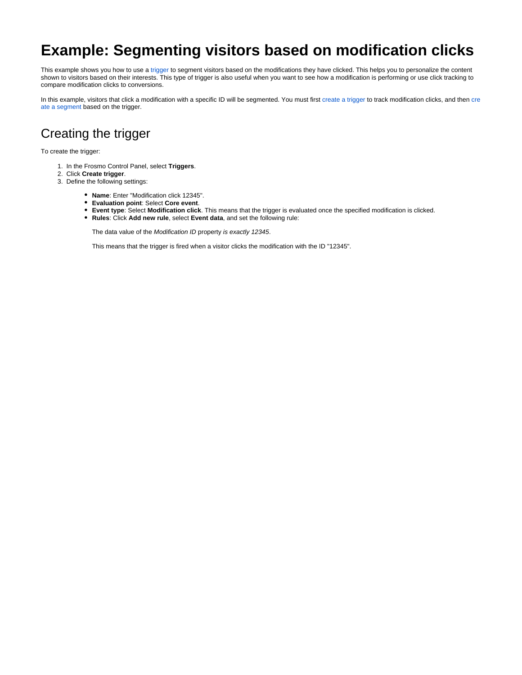## **Example: Segmenting visitors based on modification clicks**

This example shows you how to use a [trigger](https://docs.frosmo.com/display/platform/Feature%3A+Trigger) to segment visitors based on the modifications they have clicked. This helps you to personalize the content shown to visitors based on their interests. This type of trigger is also useful when you want to see how a modification is performing or use click tracking to compare modification clicks to conversions.

In this example, visitors that click a modification with a specific ID will be segmented. You must first [create a trigger](#page-0-0) to track modification clicks, and then [cre](#page-1-0) [ate a segment](#page-1-0) based on the trigger.

## <span id="page-0-0"></span>Creating the trigger

To create the trigger:

- 1. In the Frosmo Control Panel, select **Triggers**.
- 2. Click **Create trigger**.
- 3. Define the following settings:
	- **Name**: Enter "Modification click 12345".
	- **Evaluation point**: Select **Core event**.
	- **Event type**: Select **Modification click**. This means that the trigger is evaluated once the specified modification is clicked.
	- **Rules**: Click **Add new rule**, select **Event data**, and set the following rule:

The data value of the Modification ID property is exactly 12345.

This means that the trigger is fired when a visitor clicks the modification with the ID "12345".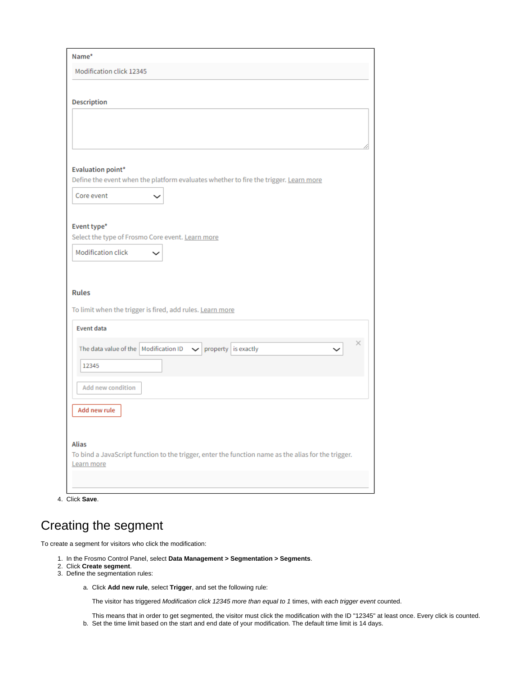| Name*                                                                                                                                                                     |  |
|---------------------------------------------------------------------------------------------------------------------------------------------------------------------------|--|
| Modification click 12345                                                                                                                                                  |  |
| <b>Description</b>                                                                                                                                                        |  |
|                                                                                                                                                                           |  |
| <b>Evaluation point*</b><br>Define the event when the platform evaluates whether to fire the trigger. Learn more                                                          |  |
| Core event                                                                                                                                                                |  |
| Event type*<br>Select the type of Frosmo Core event. Learn more<br><b>Modification click</b><br><b>Rules</b><br>To limit when the trigger is fired, add rules. Learn more |  |
| <b>Event data</b><br>The data value of the   Modification ID<br>property is exactly<br>$\check{ }$<br>12345                                                               |  |
| <b>Add new condition</b>                                                                                                                                                  |  |
| Add new rule                                                                                                                                                              |  |
|                                                                                                                                                                           |  |
| Alias<br>To bind a JavaScript function to the trigger, enter the function name as the alias for the trigger.<br>Learn more                                                |  |

4. Click **Save**.

## <span id="page-1-0"></span>Creating the segment

To create a segment for visitors who click the modification:

- 1. In the Frosmo Control Panel, select **Data Management > Segmentation > Segments**.
- 2. Click **Create segment**.
- 3. Define the segmentation rules:
	- a. Click **Add new rule**, select **Trigger**, and set the following rule:

The visitor has triggered Modification click 12345 more than equal to 1 times, with each trigger event counted.

- This means that in order to get segmented, the visitor must click the modification with the ID "12345" at least once. Every click is counted.
- b. Set the time limit based on the start and end date of your modification. The default time limit is 14 days.